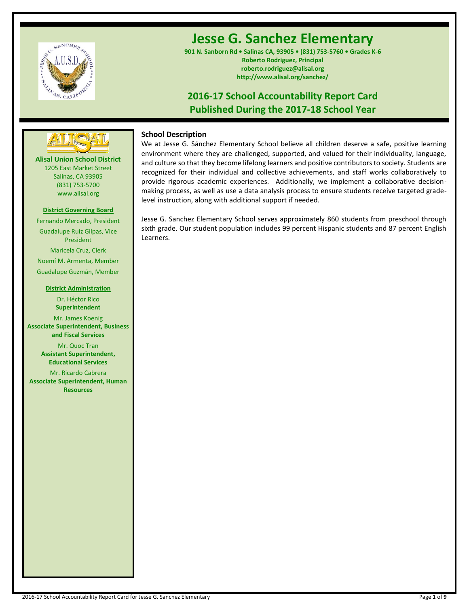

# **Jesse G. Sanchez Elementary**

**901 N. Sanborn Rd • Salinas CA, 93905 • (831) 753-5760 • Grades K-6 Roberto Rodriguez, Principal roberto.rodriguez@alisal.org http://www.alisal.org/sanchez/**

# **2016-17 School Accountability Report Card Published During the 2017-18 School Year**



**Alisal Union School District** 1205 East Market Street Salinas, CA 93905 (831) 753-5700 www.alisal.org

## **District Governing Board**

Fernando Mercado, President Guadalupe Ruiz Gilpas, Vice President Maricela Cruz, Clerk Noemí M. Armenta, Member Guadalupe Guzmán, Member

#### **District Administration**

Dr. Héctor Rico **Superintendent** Mr. James Koenig

**Associate Superintendent, Business and Fiscal Services**

> Mr. Quoc Tran **Assistant Superintendent, Educational Services**

Mr. Ricardo Cabrera **Associate Superintendent, Human Resources**

# **School Description**

We at Jesse G. Sánchez Elementary School believe all children deserve a safe, positive learning environment where they are challenged, supported, and valued for their individuality, language, and culture so that they become lifelong learners and positive contributors to society. Students are recognized for their individual and collective achievements, and staff works collaboratively to provide rigorous academic experiences. Additionally, we implement a collaborative decisionmaking process, as well as use a data analysis process to ensure students receive targeted gradelevel instruction, along with additional support if needed.

Jesse G. Sanchez Elementary School serves approximately 860 students from preschool through sixth grade. Our student population includes 99 percent Hispanic students and 87 percent English Learners.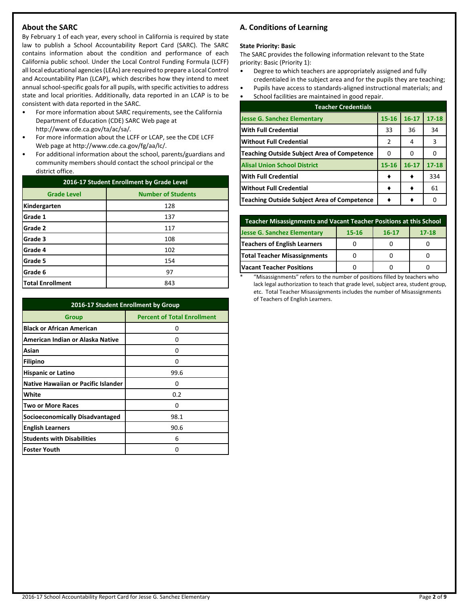# **About the SARC**

By February 1 of each year, every school in California is required by state law to publish a School Accountability Report Card (SARC). The SARC contains information about the condition and performance of each California public school. Under the Local Control Funding Formula (LCFF) all local educational agencies (LEAs) are required to prepare a Local Control and Accountability Plan (LCAP), which describes how they intend to meet annual school-specific goals for all pupils, with specific activities to address state and local priorities. Additionally, data reported in an LCAP is to be consistent with data reported in the SARC.

- For more information about SARC requirements, see the California Department of Education (CDE) SARC Web page at http://www.cde.ca.gov/ta/ac/sa/.
- For more information about the LCFF or LCAP, see the CDE LCFF Web page at http://www.cde.ca.gov/fg/aa/lc/.
- For additional information about the school, parents/guardians and community members should contact the school principal or the district office.

| 2016-17 Student Enrollment by Grade Level |                           |  |  |
|-------------------------------------------|---------------------------|--|--|
| <b>Grade Level</b>                        | <b>Number of Students</b> |  |  |
| Kindergarten                              | 128                       |  |  |
| Grade 1                                   | 137                       |  |  |
| Grade 2                                   | 117                       |  |  |
| Grade 3                                   | 108                       |  |  |
| Grade 4                                   | 102                       |  |  |
| Grade 5                                   | 154                       |  |  |
| Grade 6                                   | 97                        |  |  |
| <b>Total Enrollment</b>                   | 843                       |  |  |

| 2016-17 Student Enrollment by Group        |                                    |  |  |  |
|--------------------------------------------|------------------------------------|--|--|--|
| Group                                      | <b>Percent of Total Enrollment</b> |  |  |  |
| <b>Black or African American</b>           | ი                                  |  |  |  |
| American Indian or Alaska Native           | 0                                  |  |  |  |
| Asian                                      | O                                  |  |  |  |
| Filipino                                   | n                                  |  |  |  |
| <b>Hispanic or Latino</b>                  | 99.6                               |  |  |  |
| <b>Native Hawaiian or Pacific Islander</b> | 0                                  |  |  |  |
| White                                      | 0.2                                |  |  |  |
| <b>Two or More Races</b>                   | O                                  |  |  |  |
| Socioeconomically Disadvantaged            | 98.1                               |  |  |  |
| <b>English Learners</b>                    | 90.6                               |  |  |  |
| <b>Students with Disabilities</b>          | 6                                  |  |  |  |
| <b>Foster Youth</b>                        | 0                                  |  |  |  |

# **A. Conditions of Learning**

#### **State Priority: Basic**

The SARC provides the following information relevant to the State priority: Basic (Priority 1):

- Degree to which teachers are appropriately assigned and fully credentialed in the subject area and for the pupils they are teaching;
- Pupils have access to standards-aligned instructional materials; and
- School facilities are maintained in good repair.

| <b>Teacher Credentials</b>                         |           |           |           |  |  |  |
|----------------------------------------------------|-----------|-----------|-----------|--|--|--|
| <b>Jesse G. Sanchez Elementary</b>                 | $15 - 16$ | $16 - 17$ | $17 - 18$ |  |  |  |
| <b>With Full Credential</b>                        | 33        | 36        | 34        |  |  |  |
| <b>Without Full Credential</b>                     | 2         | 4         | 3         |  |  |  |
| <b>Teaching Outside Subject Area of Competence</b> | 0         | O         |           |  |  |  |
| <b>Alisal Union School District</b>                | 15-16     | $16 - 17$ | $17 - 18$ |  |  |  |
| <b>With Full Credential</b>                        |           |           | 334       |  |  |  |
| <b>Without Full Credential</b>                     |           |           | 61        |  |  |  |
| <b>Teaching Outside Subject Area of Competence</b> |           |           | O         |  |  |  |

| Teacher Misassignments and Vacant Teacher Positions at this School    |  |  |  |  |  |  |  |
|-----------------------------------------------------------------------|--|--|--|--|--|--|--|
| <b>Jesse G. Sanchez Elementary</b><br>$17 - 18$<br>15-16<br>$16 - 17$ |  |  |  |  |  |  |  |
| <b>Teachers of English Learners</b>                                   |  |  |  |  |  |  |  |
| <b>Total Teacher Misassignments</b>                                   |  |  |  |  |  |  |  |
| <b>Vacant Teacher Positions</b>                                       |  |  |  |  |  |  |  |

\* "Misassignments" refers to the number of positions filled by teachers who lack legal authorization to teach that grade level, subject area, student group, etc. Total Teacher Misassignments includes the number of Misassignments of Teachers of English Learners.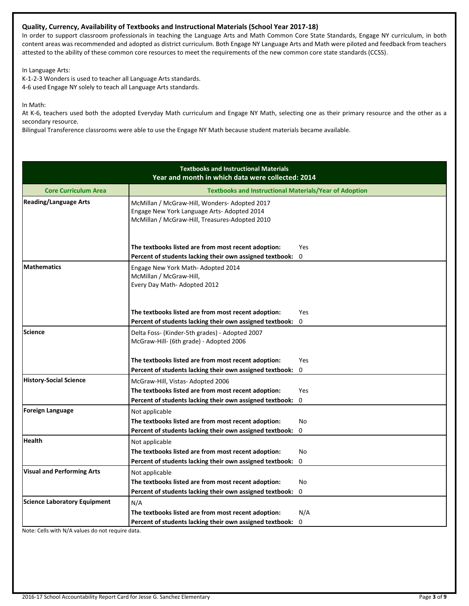# **Quality, Currency, Availability of Textbooks and Instructional Materials (School Year 2017-18)**

In order to support classroom professionals in teaching the Language Arts and Math Common Core State Standards, Engage NY curriculum, in both content areas was recommended and adopted as district curriculum. Both Engage NY Language Arts and Math were piloted and feedback from teachers attested to the ability of these common core resources to meet the requirements of the new common core state standards (CCSS).

In Language Arts:

K-1-2-3 Wonders is used to teacher all Language Arts standards. 4-6 used Engage NY solely to teach all Language Arts standards.

In Math:

At K-6, teachers used both the adopted Everyday Math curriculum and Engage NY Math, selecting one as their primary resource and the other as a secondary resource.

Bilingual Transference classrooms were able to use the Engage NY Math because student materials became available.

|                                     | <b>Textbooks and Instructional Materials</b><br>Year and month in which data were collected: 2014                                              |                        |
|-------------------------------------|------------------------------------------------------------------------------------------------------------------------------------------------|------------------------|
| <b>Core Curriculum Area</b>         | <b>Textbooks and Instructional Materials/Year of Adoption</b>                                                                                  |                        |
| <b>Reading/Language Arts</b>        | McMillan / McGraw-Hill, Wonders- Adopted 2017<br>Engage New York Language Arts- Adopted 2014<br>McMillan / McGraw-Hill, Treasures-Adopted 2010 |                        |
|                                     | The textbooks listed are from most recent adoption:<br>Percent of students lacking their own assigned textbook:                                | <b>Yes</b><br>$\Omega$ |
| <b>Mathematics</b>                  | Engage New York Math- Adopted 2014<br>McMillan / McGraw-Hill,<br>Every Day Math-Adopted 2012                                                   |                        |
|                                     | The textbooks listed are from most recent adoption:                                                                                            | <b>Yes</b>             |
|                                     | Percent of students lacking their own assigned textbook:                                                                                       | 0                      |
| <b>Science</b>                      | Delta Foss- (Kinder-5th grades) - Adopted 2007<br>McGraw-Hill- (6th grade) - Adopted 2006                                                      |                        |
|                                     | The textbooks listed are from most recent adoption:                                                                                            | Yes                    |
|                                     | Percent of students lacking their own assigned textbook:                                                                                       | $\mathbf 0$            |
| <b>History-Social Science</b>       | McGraw-Hill, Vistas-Adopted 2006                                                                                                               |                        |
|                                     | The textbooks listed are from most recent adoption:                                                                                            | <b>Yes</b>             |
|                                     | Percent of students lacking their own assigned textbook:                                                                                       | $\mathbf 0$            |
| <b>Foreign Language</b>             | Not applicable                                                                                                                                 |                        |
|                                     | The textbooks listed are from most recent adoption:                                                                                            | No                     |
|                                     | Percent of students lacking their own assigned textbook:                                                                                       | $\Omega$               |
| <b>Health</b>                       | Not applicable                                                                                                                                 |                        |
|                                     | The textbooks listed are from most recent adoption:                                                                                            | No                     |
|                                     | Percent of students lacking their own assigned textbook:                                                                                       | $\mathbf 0$            |
| <b>Visual and Performing Arts</b>   | Not applicable                                                                                                                                 |                        |
|                                     | The textbooks listed are from most recent adoption:                                                                                            | No                     |
|                                     | Percent of students lacking their own assigned textbook:                                                                                       | 0                      |
| <b>Science Laboratory Equipment</b> | N/A                                                                                                                                            |                        |
|                                     | The textbooks listed are from most recent adoption:                                                                                            | N/A                    |
|                                     | Percent of students lacking their own assigned textbook:                                                                                       | 0                      |

Note: Cells with N/A values do not require data.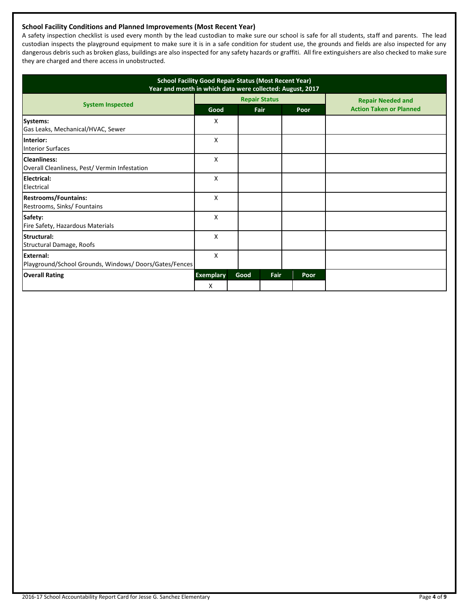# **School Facility Conditions and Planned Improvements (Most Recent Year)**

A safety inspection checklist is used every month by the lead custodian to make sure our school is safe for all students, staff and parents. The lead custodian inspects the playground equipment to make sure it is in a safe condition for student use, the grounds and fields are also inspected for any dangerous debris such as broken glass, buildings are also inspected for any safety hazards or graffiti. All fire extinguishers are also checked to make sure they are charged and there access in unobstructed.

| <b>School Facility Good Repair Status (Most Recent Year)</b><br>Year and month in which data were collected: August, 2017 |                  |      |                      |      |                                |  |
|---------------------------------------------------------------------------------------------------------------------------|------------------|------|----------------------|------|--------------------------------|--|
|                                                                                                                           |                  |      | <b>Repair Status</b> |      | <b>Repair Needed and</b>       |  |
| <b>System Inspected</b>                                                                                                   | Good             |      | Fair                 | Poor | <b>Action Taken or Planned</b> |  |
| Systems:<br>Gas Leaks, Mechanical/HVAC, Sewer                                                                             | Χ                |      |                      |      |                                |  |
| Interior:<br><b>Interior Surfaces</b>                                                                                     | X                |      |                      |      |                                |  |
| Cleanliness:<br>Overall Cleanliness, Pest/ Vermin Infestation                                                             | X                |      |                      |      |                                |  |
| Electrical:<br>Electrical                                                                                                 | X                |      |                      |      |                                |  |
| <b>Restrooms/Fountains:</b><br>Restrooms, Sinks/ Fountains                                                                | X                |      |                      |      |                                |  |
| Safety:<br>Fire Safety, Hazardous Materials                                                                               | x                |      |                      |      |                                |  |
| Structural:<br><b>Structural Damage, Roofs</b>                                                                            | X                |      |                      |      |                                |  |
| External:<br>Playground/School Grounds, Windows/Doors/Gates/Fences                                                        | X                |      |                      |      |                                |  |
| <b>Overall Rating</b>                                                                                                     | <b>Exemplary</b> | Good | Fair                 | Poor |                                |  |
|                                                                                                                           | X                |      |                      |      |                                |  |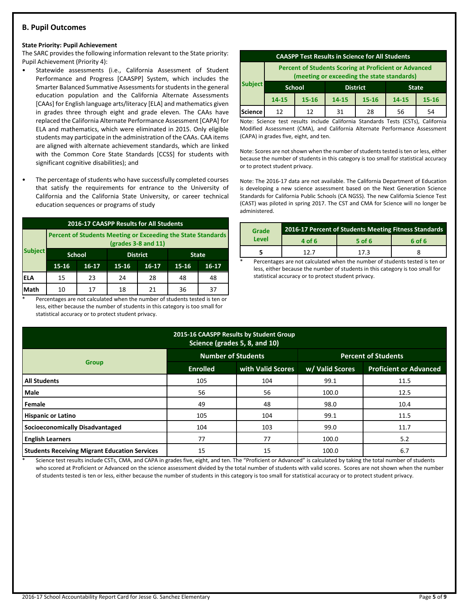# **B. Pupil Outcomes**

#### **State Priority: Pupil Achievement**

The SARC provides the following information relevant to the State priority: Pupil Achievement (Priority 4):

- Statewide assessments (i.e., California Assessment of Student Performance and Progress [CAASPP] System, which includes the Smarter Balanced Summative Assessments for students in the general education population and the California Alternate Assessments [CAAs] for English language arts/literacy [ELA] and mathematics given in grades three through eight and grade eleven. The CAAs have replaced the California Alternate Performance Assessment [CAPA] for ELA and mathematics, which were eliminated in 2015. Only eligible students may participate in the administration of the CAAs. CAA items are aligned with alternate achievement standards, which are linked with the Common Core State Standards [CCSS] for students with significant cognitive disabilities); and
- The percentage of students who have successfully completed courses that satisfy the requirements for entrance to the University of California and the California State University, or career technical education sequences or programs of study

| 2016-17 CAASPP Results for All Students |                                                                                       |                                  |    |    |    |              |  |
|-----------------------------------------|---------------------------------------------------------------------------------------|----------------------------------|----|----|----|--------------|--|
|                                         | Percent of Students Meeting or Exceeding the State Standards<br>$(grades 3-8 and 11)$ |                                  |    |    |    |              |  |
| <b>Subject</b>                          |                                                                                       | <b>School</b><br><b>District</b> |    |    |    | <b>State</b> |  |
|                                         | 15-16<br>$15 - 16$<br>16-17<br>$16-17$                                                |                                  |    |    |    | $16 - 17$    |  |
| <b>ELA</b>                              | 15                                                                                    | 23                               | 24 | 28 | 48 | 48           |  |
| Math                                    | 10                                                                                    | 17                               | 18 | 21 | 36 | 37           |  |

Percentages are not calculated when the number of students tested is ten or less, either because the number of students in this category is too small for statistical accuracy or to protect student privacy.

| <b>CAASPP Test Results in Science for All Students</b>                                                     |                                                  |           |       |           |       |           |
|------------------------------------------------------------------------------------------------------------|--------------------------------------------------|-----------|-------|-----------|-------|-----------|
| <b>Percent of Students Scoring at Proficient or Advanced</b><br>(meeting or exceeding the state standards) |                                                  |           |       |           |       |           |
| <b>Subject</b>                                                                                             | <b>School</b><br><b>District</b><br><b>State</b> |           |       |           |       |           |
|                                                                                                            | 14-15                                            | $15 - 16$ | 14-15 | $15 - 16$ | 14-15 | $15 - 16$ |
| <b>Science</b>                                                                                             | 12                                               | 12        | 31    | 28        | 56    | 54        |

Note: Science test results include California Standards Tests (CSTs), California Modified Assessment (CMA), and California Alternate Performance Assessment (CAPA) in grades five, eight, and ten.

Note: Scores are not shown when the number of students tested is ten or less, either because the number of students in this category is too small for statistical accuracy or to protect student privacy.

Note: The 2016-17 data are not available. The California Department of Education is developing a new science assessment based on the Next Generation Science Standards for California Public Schools (CA NGSS). The new California Science Test (CAST) was piloted in spring 2017. The CST and CMA for Science will no longer be administered.

| Grade | <b>2016-17 Percent of Students Meeting Fitness Standards</b> |          |        |  |  |
|-------|--------------------------------------------------------------|----------|--------|--|--|
| Level | 4 of 6                                                       | $5$ of 6 | 6 of 6 |  |  |
|       | 127                                                          | 173      |        |  |  |

Percentages are not calculated when the number of students tested is ten or less, either because the number of students in this category is too small for statistical accuracy or to protect student privacy.

| 2015-16 CAASPP Results by Student Group<br>Science (grades 5, 8, and 10) |                           |                   |                            |                               |  |  |  |
|--------------------------------------------------------------------------|---------------------------|-------------------|----------------------------|-------------------------------|--|--|--|
|                                                                          | <b>Number of Students</b> |                   | <b>Percent of Students</b> |                               |  |  |  |
| <b>Group</b>                                                             | <b>Enrolled</b>           | with Valid Scores | w/ Valid Scores            | <b>Proficient or Advanced</b> |  |  |  |
| <b>All Students</b>                                                      | 105                       | 104               | 99.1                       | 11.5                          |  |  |  |
| <b>Male</b>                                                              | 56                        | 56                | 100.0                      | 12.5                          |  |  |  |
| Female                                                                   | 49                        | 48                | 98.0                       | 10.4                          |  |  |  |
| <b>Hispanic or Latino</b>                                                | 105                       | 104               | 99.1                       | 11.5                          |  |  |  |
| Socioeconomically Disadvantaged                                          | 104                       | 103               | 99.0                       | 11.7                          |  |  |  |
| <b>English Learners</b>                                                  | 77                        | 77                | 100.0                      | 5.2                           |  |  |  |
| <b>Students Receiving Migrant Education Services</b>                     | 15                        | 15                | 100.0                      | 6.7                           |  |  |  |

Science test results include CSTs, CMA, and CAPA in grades five, eight, and ten. The "Proficient or Advanced" is calculated by taking the total number of students who scored at Proficient or Advanced on the science assessment divided by the total number of students with valid scores. Scores are not shown when the number of students tested is ten or less, either because the number of students in this category is too small for statistical accuracy or to protect student privacy.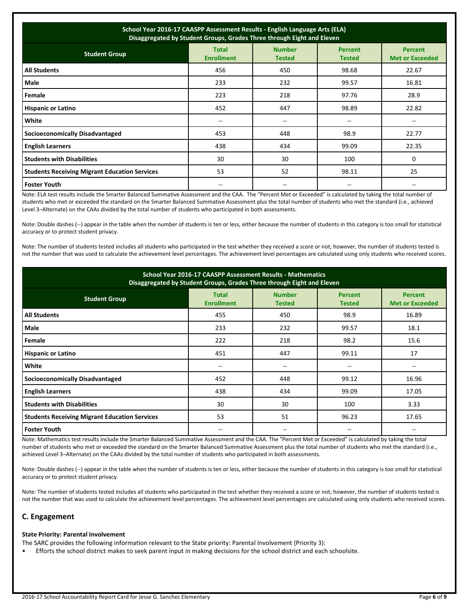| School Year 2016-17 CAASPP Assessment Results - English Language Arts (ELA)<br>Disaggregated by Student Groups, Grades Three through Eight and Eleven |                                   |                                |                                 |                                          |  |  |
|-------------------------------------------------------------------------------------------------------------------------------------------------------|-----------------------------------|--------------------------------|---------------------------------|------------------------------------------|--|--|
| <b>Student Group</b>                                                                                                                                  | <b>Total</b><br><b>Enrollment</b> | <b>Number</b><br><b>Tested</b> | <b>Percent</b><br><b>Tested</b> | <b>Percent</b><br><b>Met or Exceeded</b> |  |  |
| <b>All Students</b>                                                                                                                                   | 456                               | 450                            | 98.68                           | 22.67                                    |  |  |
| Male                                                                                                                                                  | 233                               | 232                            | 99.57                           | 16.81                                    |  |  |
| Female                                                                                                                                                | 223                               | 218                            | 97.76                           | 28.9                                     |  |  |
| <b>Hispanic or Latino</b>                                                                                                                             | 452                               | 447                            | 98.89                           | 22.82                                    |  |  |
| White                                                                                                                                                 | $- -$                             | --                             | --                              |                                          |  |  |
| <b>Socioeconomically Disadvantaged</b>                                                                                                                | 453                               | 448                            | 98.9                            | 22.77                                    |  |  |
| <b>English Learners</b>                                                                                                                               | 438                               | 434                            | 99.09                           | 22.35                                    |  |  |
| <b>Students with Disabilities</b>                                                                                                                     | 30                                | 30                             | 100                             | 0                                        |  |  |
| <b>Students Receiving Migrant Education Services</b>                                                                                                  | 53                                | 52                             | 98.11                           | 25                                       |  |  |
| <b>Foster Youth</b>                                                                                                                                   |                                   |                                |                                 |                                          |  |  |

Note: ELA test results include the Smarter Balanced Summative Assessment and the CAA. The "Percent Met or Exceeded" is calculated by taking the total number of students who met or exceeded the standard on the Smarter Balanced Summative Assessment plus the total number of students who met the standard (i.e., achieved Level 3–Alternate) on the CAAs divided by the total number of students who participated in both assessments.

Note: Double dashes (--) appear in the table when the number of students is ten or less, either because the number of students in this category is too small for statistical accuracy or to protect student privacy.

Note: The number of students tested includes all students who participated in the test whether they received a score or not; however, the number of students tested is not the number that was used to calculate the achievement level percentages. The achievement level percentages are calculated using only students who received scores.

| School Year 2016-17 CAASPP Assessment Results - Mathematics<br>Disaggregated by Student Groups, Grades Three through Eight and Eleven |                                   |                                |                                 |                                          |  |  |
|---------------------------------------------------------------------------------------------------------------------------------------|-----------------------------------|--------------------------------|---------------------------------|------------------------------------------|--|--|
| <b>Student Group</b>                                                                                                                  | <b>Total</b><br><b>Enrollment</b> | <b>Number</b><br><b>Tested</b> | <b>Percent</b><br><b>Tested</b> | <b>Percent</b><br><b>Met or Exceeded</b> |  |  |
| <b>All Students</b>                                                                                                                   | 455                               | 450                            | 98.9                            | 16.89                                    |  |  |
| Male                                                                                                                                  | 233                               | 232                            | 99.57                           | 18.1                                     |  |  |
| Female                                                                                                                                | 222                               | 218                            | 98.2                            | 15.6                                     |  |  |
| <b>Hispanic or Latino</b>                                                                                                             | 451                               | 447                            | 99.11                           | 17                                       |  |  |
| White                                                                                                                                 | --                                | --                             | --                              |                                          |  |  |
| <b>Socioeconomically Disadvantaged</b>                                                                                                | 452                               | 448                            | 99.12                           | 16.96                                    |  |  |
| <b>English Learners</b>                                                                                                               | 438                               | 434                            | 99.09                           | 17.05                                    |  |  |
| <b>Students with Disabilities</b>                                                                                                     | 30                                | 30                             | 100                             | 3.33                                     |  |  |
| <b>Students Receiving Migrant Education Services</b>                                                                                  | 53                                | 51                             | 96.23                           | 17.65                                    |  |  |
| <b>Foster Youth</b>                                                                                                                   |                                   | $- -$                          | --                              |                                          |  |  |

Note: Mathematics test results include the Smarter Balanced Summative Assessment and the CAA. The "Percent Met or Exceeded" is calculated by taking the total number of students who met or exceeded the standard on the Smarter Balanced Summative Assessment plus the total number of students who met the standard (i.e., achieved Level 3–Alternate) on the CAAs divided by the total number of students who participated in both assessments.

Note: Double dashes (--) appear in the table when the number of students is ten or less, either because the number of students in this category is too small for statistical accuracy or to protect student privacy.

Note: The number of students tested includes all students who participated in the test whether they received a score or not; however, the number of students tested is not the number that was used to calculate the achievement level percentages. The achievement level percentages are calculated using only students who received scores.

# **C. Engagement**

## **State Priority: Parental Involvement**

The SARC provides the following information relevant to the State priority: Parental Involvement (Priority 3):

• Efforts the school district makes to seek parent input in making decisions for the school district and each schoolsite.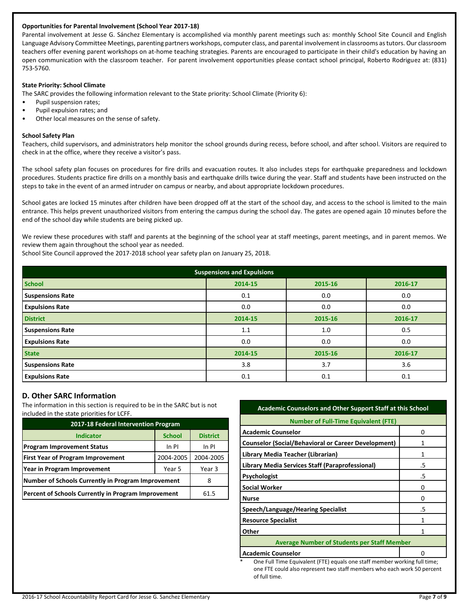# **Opportunities for Parental Involvement (School Year 2017-18)**

Parental involvement at Jesse G. Sánchez Elementary is accomplished via monthly parent meetings such as: monthly School Site Council and English Language Advisory Committee Meetings, parenting partners workshops, computer class, and parental involvement in classrooms as tutors. Our classroom teachers offer evening parent workshops on at-home teaching strategies. Parents are encouraged to participate in their child's education by having an open communication with the classroom teacher. For parent involvement opportunities please contact school principal, Roberto Rodriguez at: (831) 753-5760.

#### **State Priority: School Climate**

The SARC provides the following information relevant to the State priority: School Climate (Priority 6):

- Pupil suspension rates;
- Pupil expulsion rates; and
- Other local measures on the sense of safety.

#### **School Safety Plan**

Teachers, child supervisors, and administrators help monitor the school grounds during recess, before school, and after school. Visitors are required to check in at the office, where they receive a visitor's pass.

The school safety plan focuses on procedures for fire drills and evacuation routes. It also includes steps for earthquake preparedness and lockdown procedures. Students practice fire drills on a monthly basis and earthquake drills twice during the year. Staff and students have been instructed on the steps to take in the event of an armed intruder on campus or nearby, and about appropriate lockdown procedures.

School gates are locked 15 minutes after children have been dropped off at the start of the school day, and access to the school is limited to the main entrance. This helps prevent unauthorized visitors from entering the campus during the school day. The gates are opened again 10 minutes before the end of the school day while students are being picked up.

We review these procedures with staff and parents at the beginning of the school year at staff meetings, parent meetings, and in parent memos. We review them again throughout the school year as needed.

School Site Council approved the 2017-2018 school year safety plan on January 25, 2018.

| <b>Suspensions and Expulsions</b> |         |         |         |  |  |  |
|-----------------------------------|---------|---------|---------|--|--|--|
| <b>School</b>                     | 2014-15 | 2015-16 | 2016-17 |  |  |  |
| <b>Suspensions Rate</b>           | 0.1     | 0.0     | 0.0     |  |  |  |
| <b>Expulsions Rate</b>            | 0.0     | 0.0     | 0.0     |  |  |  |
| <b>District</b>                   | 2014-15 | 2015-16 | 2016-17 |  |  |  |
| <b>Suspensions Rate</b>           | 1.1     | 1.0     | 0.5     |  |  |  |
| <b>Expulsions Rate</b>            | 0.0     | 0.0     | 0.0     |  |  |  |
| <b>State</b>                      | 2014-15 | 2015-16 | 2016-17 |  |  |  |
| <b>Suspensions Rate</b>           | 3.8     | 3.7     | 3.6     |  |  |  |
| <b>Expulsions Rate</b>            | 0.1     | 0.1     | 0.1     |  |  |  |

# **D. Other SARC Information**

The information in this section is required to be in the SARC but is not included in the state priorities for LCFF.

| 2017-18 Federal Intervention Program                |               |                 |  |  |  |
|-----------------------------------------------------|---------------|-----------------|--|--|--|
| <b>Indicator</b>                                    | <b>School</b> | <b>District</b> |  |  |  |
| <b>Program Improvement Status</b>                   | In PI         |                 |  |  |  |
| <b>First Year of Program Improvement</b>            | 2004-2005     |                 |  |  |  |
| Year in Program Improvement                         | Year 3        |                 |  |  |  |
| Number of Schools Currently in Program Improvement  | 8             |                 |  |  |  |
| Percent of Schools Currently in Program Improvement | 61.5          |                 |  |  |  |

#### **Academic Counselors and Other Support Staff at this School**

| <b>Number of Full-Time Equivalent (FTE)</b>                |    |  |  |  |
|------------------------------------------------------------|----|--|--|--|
| <b>Academic Counselor</b>                                  | ŋ  |  |  |  |
| <b>Counselor (Social/Behavioral or Career Development)</b> |    |  |  |  |
| Library Media Teacher (Librarian)                          |    |  |  |  |
| Library Media Services Staff (Paraprofessional)            | .5 |  |  |  |
| <b>Psychologist</b>                                        | .5 |  |  |  |
| Social Worker                                              | O  |  |  |  |
| <b>Nurse</b>                                               |    |  |  |  |
| Speech/Language/Hearing Specialist                         | .5 |  |  |  |
| <b>Resource Specialist</b>                                 |    |  |  |  |
| Other                                                      | 1  |  |  |  |
| <b>Average Number of Students per Staff Member</b>         |    |  |  |  |
| <b>Academic Counselor</b>                                  |    |  |  |  |

One Full Time Equivalent (FTE) equals one staff member working full time; one FTE could also represent two staff members who each work 50 percent of full time.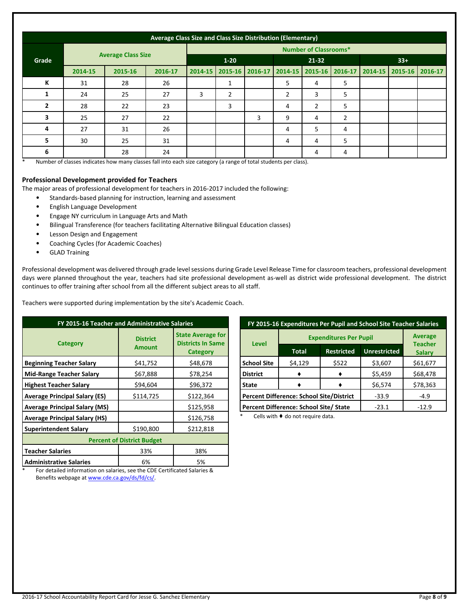|                | Average Class Size and Class Size Distribution (Elementary) |         |          |         |                              |         |                |                |                |         |                 |  |
|----------------|-------------------------------------------------------------|---------|----------|---------|------------------------------|---------|----------------|----------------|----------------|---------|-----------------|--|
|                |                                                             |         |          |         | <b>Number of Classrooms*</b> |         |                |                |                |         |                 |  |
| Grade          | <b>Average Class Size</b>                                   |         | $1 - 20$ |         | $21 - 32$                    |         |                | $33+$          |                |         |                 |  |
|                | 2014-15                                                     | 2015-16 | 2016-17  | 2014-15 | 2015-16                      | 2016-17 | 2014-15        | 2015-16        | 2016-17        | 2014-15 | 2015-16 2016-17 |  |
| К              | 31                                                          | 28      | 26       |         | 1                            |         | 5              | 4              | 5              |         |                 |  |
| 1              | 24                                                          | 25      | 27       | 3       | $\overline{2}$               |         | $\overline{2}$ | 3              | 5              |         |                 |  |
| $\overline{2}$ | 28                                                          | 22      | 23       |         | 3                            |         | 4              | $\overline{2}$ | 5              |         |                 |  |
| 3              | 25                                                          | 27      | 22       |         |                              | 3       | 9              | 4              | $\overline{2}$ |         |                 |  |
| 4              | 27                                                          | 31      | 26       |         |                              |         | 4              | 5              | 4              |         |                 |  |
| 5              | 30                                                          | 25      | 31       |         |                              |         | 4              | 4              | 5              |         |                 |  |
| 6              |                                                             | 28      | 24       |         |                              |         |                | 4              | 4              |         |                 |  |

\* Number of classes indicates how many classes fall into each size category (a range of total students per class).

#### **Professional Development provided for Teachers**

The major areas of professional development for teachers in 2016-2017 included the following:

- Standards-based planning for instruction, learning and assessment
- English Language Development
- Engage NY curriculum in Language Arts and Math
- Bilingual Transference (for teachers facilitating Alternative Bilingual Education classes)
- Lesson Design and Engagement
- Coaching Cycles (for Academic Coaches)
- GLAD Training

Professional development was delivered through grade level sessions during Grade Level Release Time for classroom teachers, professional development days were planned throughout the year, teachers had site professional development as-well as district wide professional development. The district continues to offer training after school from all the different subject areas to all staff.

Teachers were supported during implementation by the site's Academic Coach.

| FY 2015-16 Teacher and Administrative Salaries |                                  |                                                                         |  |  |  |  |
|------------------------------------------------|----------------------------------|-------------------------------------------------------------------------|--|--|--|--|
| <b>Category</b>                                | <b>District</b><br><b>Amount</b> | <b>State Average for</b><br><b>Districts In Same</b><br><b>Category</b> |  |  |  |  |
| <b>Beginning Teacher Salary</b>                | \$41,752                         | \$48,678                                                                |  |  |  |  |
| <b>Mid-Range Teacher Salary</b>                | \$67,888                         | \$78,254                                                                |  |  |  |  |
| <b>Highest Teacher Salary</b>                  | \$94,604                         | \$96,372                                                                |  |  |  |  |
| <b>Average Principal Salary (ES)</b>           | \$114,725                        | \$122,364                                                               |  |  |  |  |
| <b>Average Principal Salary (MS)</b>           |                                  | \$125,958                                                               |  |  |  |  |
| <b>Average Principal Salary (HS)</b>           |                                  | \$126,758                                                               |  |  |  |  |
| <b>Superintendent Salary</b>                   | \$190,800                        | \$212,818                                                               |  |  |  |  |
| <b>Percent of District Budget</b>              |                                  |                                                                         |  |  |  |  |
| <b>Teacher Salaries</b>                        | 33%                              | 38%                                                                     |  |  |  |  |
| <b>Administrative Salaries</b>                 | 6%                               | 5%                                                                      |  |  |  |  |

| FY 2015-16 Expenditures Per Pupil and School Site Teacher Salaries |                                                 |                   |                     |                                 |  |  |
|--------------------------------------------------------------------|-------------------------------------------------|-------------------|---------------------|---------------------------------|--|--|
|                                                                    | <b>Expenditures Per Pupil</b>                   | <b>Average</b>    |                     |                                 |  |  |
| <b>Level</b>                                                       | Total                                           | <b>Restricted</b> | <b>Unrestricted</b> | <b>Teacher</b><br><b>Salary</b> |  |  |
| <b>School Site</b>                                                 | \$4,129                                         | \$522             | \$3,607             | \$61,677                        |  |  |
| <b>District</b>                                                    |                                                 |                   | \$5,459             | \$68,478                        |  |  |
| <b>State</b>                                                       |                                                 |                   | \$6,574             | \$78,363                        |  |  |
|                                                                    | <b>Percent Difference: School Site/District</b> | $-33.9$           | $-4.9$              |                                 |  |  |
|                                                                    | Percent Difference: School Site/ State          | $-23.1$           | $-12.9$             |                                 |  |  |

Cells with  $\blacklozenge$  do not require data.

\* For detailed information on salaries, see the CDE Certificated Salaries & Benefits webpage a[t www.cde.ca.gov/ds/fd/cs/.](http://www.cde.ca.gov/ds/fd/cs/)